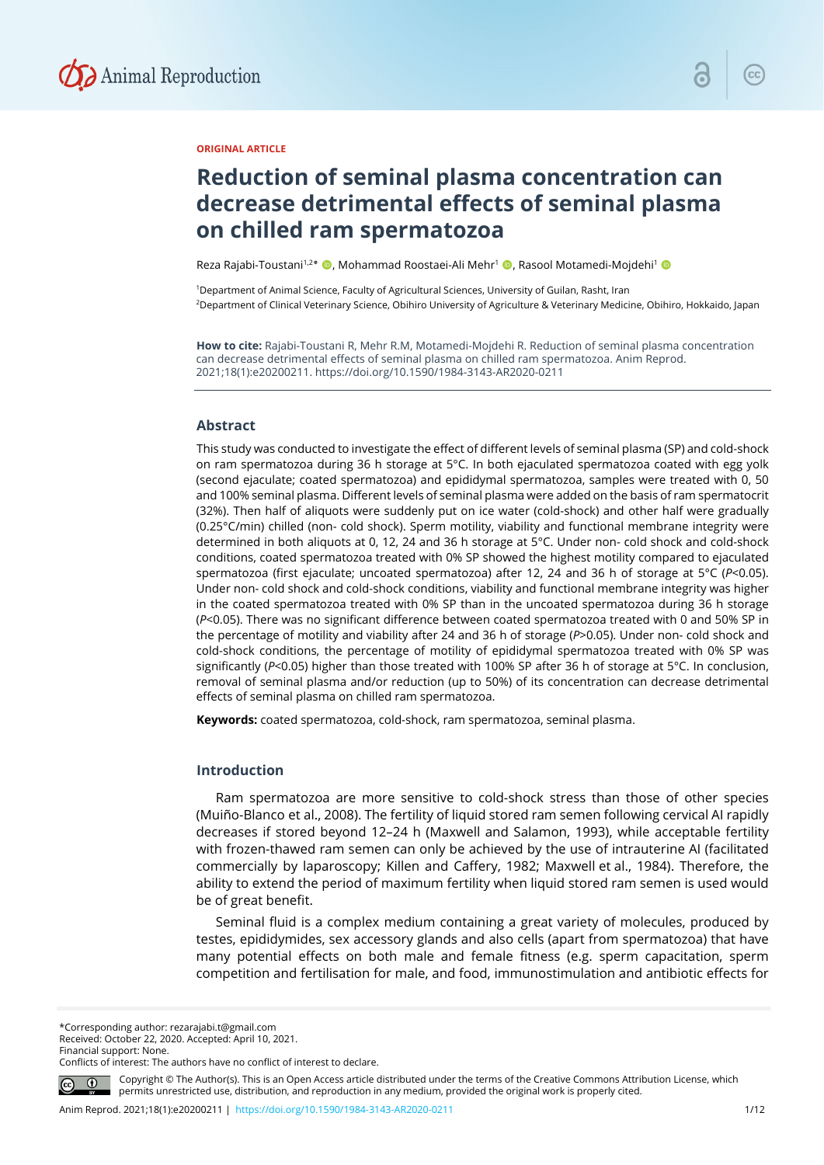

#### **ORIGINAL ARTICLE**

# **Reduction of seminal plasma concentration can decrease detrimental effects of seminal plasma on chilled ram spermatozoa**

Reza Rajabi-Toustani<sup>1,2</sup>\* (D, Mohammad Roostaei-Ali Mehr<sup>1</sup> (D, Rasool Motamedi-Mojdehi<sup>1</sup> O

<sup>1</sup>Department of Animal Science, Faculty of Agricultural Sciences, University of Guilan, Rasht, Iran <sup>2</sup>Department of Clinical Veterinary Science, Obihiro University of Agriculture & Veterinary Medicine, Obihiro, Hokkaido, Japan

**How to cite:** Rajabi-Toustani R, Mehr R.M, Motamedi-Mojdehi R. Reduction of seminal plasma concentration can decrease detrimental effects of seminal plasma on chilled ram spermatozoa. Anim Reprod. 2021;18(1):e20200211. https://doi.org/10.1590/1984-3143-AR2020-0211

#### **Abstract**

This study was conducted to investigate the effect of different levels of seminal plasma (SP) and cold-shock on ram spermatozoa during 36 h storage at 5°C. In both ejaculated spermatozoa coated with egg yolk (second ejaculate; coated spermatozoa) and epididymal spermatozoa, samples were treated with 0, 50 and 100% seminal plasma. Different levels of seminal plasma were added on the basis of ram spermatocrit (32%). Then half of aliquots were suddenly put on ice water (cold-shock) and other half were gradually (0.25°C/min) chilled (non- cold shock). Sperm motility, viability and functional membrane integrity were determined in both aliquots at 0, 12, 24 and 36 h storage at 5°C. Under non- cold shock and cold-shock conditions, coated spermatozoa treated with 0% SP showed the highest motility compared to ejaculated spermatozoa (first ejaculate; uncoated spermatozoa) after 12, 24 and 36 h of storage at 5°C (*P*<0.05). Under non- cold shock and cold-shock conditions, viability and functional membrane integrity was higher in the coated spermatozoa treated with 0% SP than in the uncoated spermatozoa during 36 h storage (*P*<0.05). There was no significant difference between coated spermatozoa treated with 0 and 50% SP in the percentage of motility and viability after 24 and 36 h of storage (*P*>0.05). Under non- cold shock and cold-shock conditions, the percentage of motility of epididymal spermatozoa treated with 0% SP was significantly (*P*<0.05) higher than those treated with 100% SP after 36 h of storage at 5°C. In conclusion, removal of seminal plasma and/or reduction (up to 50%) of its concentration can decrease detrimental effects of seminal plasma on chilled ram spermatozoa.

**Keywords:** coated spermatozoa, cold-shock, ram spermatozoa, seminal plasma.

#### **Introduction**

Ram spermatozoa are more sensitive to cold-shock stress than those of other species (Muiño-Blanco et al., 2008). The fertility of liquid stored ram semen following cervical AI rapidly decreases if stored beyond 12–24 h (Maxwell and Salamon, 1993), while acceptable fertility with frozen-thawed ram semen can only be achieved by the use of intrauterine AI (facilitated commercially by laparoscopy; Killen and Caffery, 1982; Maxwell et al., 1984). Therefore, the ability to extend the period of maximum fertility when liquid stored ram semen is used would be of great benefit.

Seminal fluid is a complex medium containing a great variety of molecules, produced by testes, epididymides, sex accessory glands and also cells (apart from spermatozoa) that have many potential effects on both male and female fitness (e.g. sperm capacitation, sperm competition and fertilisation for male, and food, immunostimulation and antibiotic effects for

\*Corresponding author: rezarajabi.t@gmail.com Received: October 22, 2020. Accepted: April 10, 2021. Financial support: None.

Conflicts of interest: The authors have no conflict of interest to declare.

Copyright © The Author(s). This is an Open Access article distributed under the terms of the Creative Commons Attribution License, which permits unrestricted use, distribution, and reproduction in any medium, provided the original work is properly cited.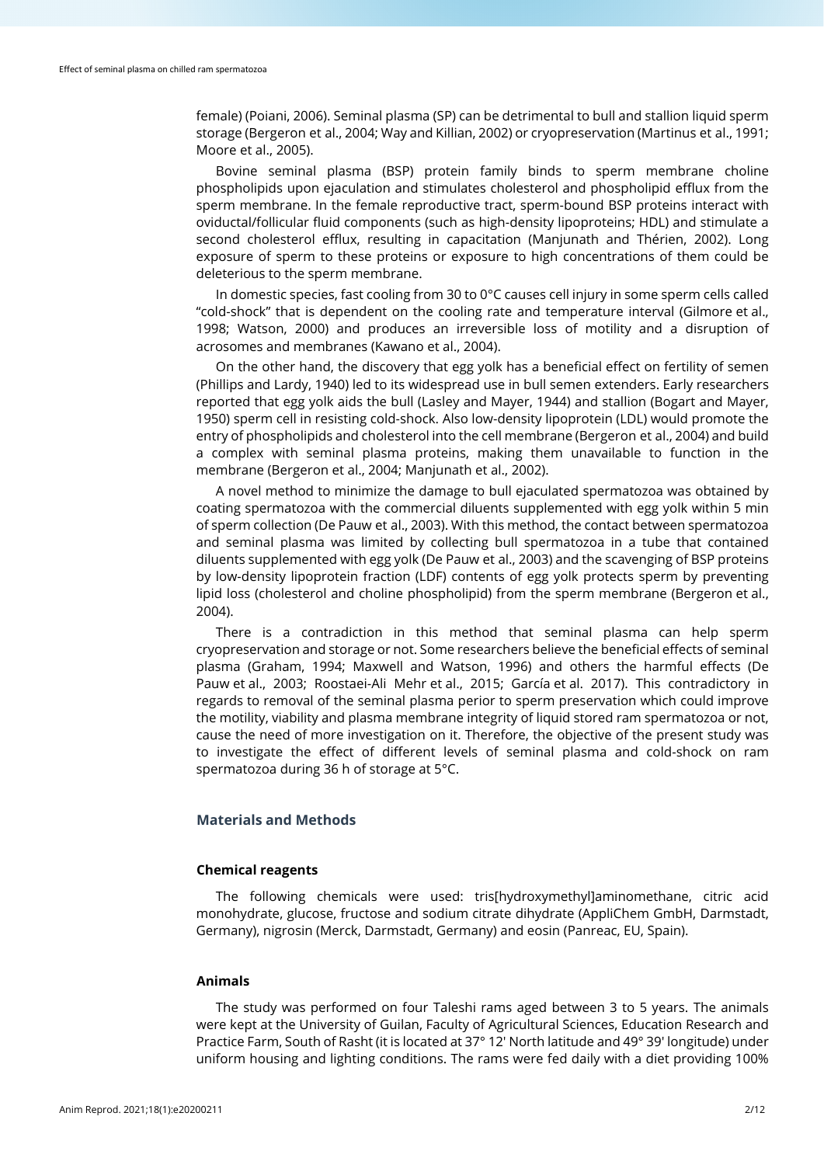female) (Poiani, 2006). Seminal plasma (SP) can be detrimental to bull and stallion liquid sperm storage (Bergeron et al., 2004; Way and Killian, 2002) or cryopreservation (Martinus et al., 1991; Moore et al., 2005).

Bovine seminal plasma (BSP) protein family binds to sperm membrane choline phospholipids upon ejaculation and stimulates cholesterol and phospholipid efflux from the sperm membrane. In the female reproductive tract, sperm-bound BSP proteins interact with oviductal/follicular fluid components (such as high-density lipoproteins; HDL) and stimulate a second cholesterol efflux, resulting in capacitation (Manjunath and Thérien, 2002). Long exposure of sperm to these proteins or exposure to high concentrations of them could be deleterious to the sperm membrane.

In domestic species, fast cooling from 30 to 0°C causes cell injury in some sperm cells called "cold-shock" that is dependent on the cooling rate and temperature interval (Gilmore et al., 1998; Watson, 2000) and produces an irreversible loss of motility and a disruption of acrosomes and membranes (Kawano et al., 2004).

On the other hand, the discovery that egg yolk has a beneficial effect on fertility of semen (Phillips and Lardy, 1940) led to its widespread use in bull semen extenders. Early researchers reported that egg yolk aids the bull (Lasley and Mayer, 1944) and stallion (Bogart and Mayer, 1950) sperm cell in resisting cold-shock. Also low-density lipoprotein (LDL) would promote the entry of phospholipids and cholesterol into the cell membrane (Bergeron et al., 2004) and build a complex with seminal plasma proteins, making them unavailable to function in the membrane (Bergeron et al., 2004; Manjunath et al., 2002).

A novel method to minimize the damage to bull ejaculated spermatozoa was obtained by coating spermatozoa with the commercial diluents supplemented with egg yolk within 5 min of sperm collection (De Pauw et al., 2003). With this method, the contact between spermatozoa and seminal plasma was limited by collecting bull spermatozoa in a tube that contained diluents supplemented with egg yolk (De Pauw et al., 2003) and the scavenging of BSP proteins by low-density lipoprotein fraction (LDF) contents of egg yolk protects sperm by preventing lipid loss (cholesterol and choline phospholipid) from the sperm membrane (Bergeron et al., 2004).

There is a contradiction in this method that seminal plasma can help sperm cryopreservation and storage or not. Some researchers believe the beneficial effects of seminal plasma (Graham, 1994; Maxwell and Watson, 1996) and others the harmful effects (De Pauw et al., 2003; Roostaei-Ali Mehr et al., 2015; García et al. 2017). This contradictory in regards to removal of the seminal plasma perior to sperm preservation which could improve the motility, viability and plasma membrane integrity of liquid stored ram spermatozoa or not, cause the need of more investigation on it. Therefore, the objective of the present study was to investigate the effect of different levels of seminal plasma and cold-shock on ram spermatozoa during 36 h of storage at 5°C.

## **Materials and Methods**

#### **Chemical reagents**

The following chemicals were used: tris[hydroxymethyl]aminomethane, citric acid monohydrate, glucose, fructose and sodium citrate dihydrate (AppliChem GmbH, Darmstadt, Germany), nigrosin (Merck, Darmstadt, Germany) and eosin (Panreac, EU, Spain).

## **Animals**

The study was performed on four Taleshi rams aged between 3 to 5 years. The animals were kept at the University of Guilan, Faculty of Agricultural Sciences, Education Research and Practice Farm, South of Rasht (it is located at 37° 12′ North latitude and 49° 39′ longitude) under uniform housing and lighting conditions. The rams were fed daily with a diet providing 100%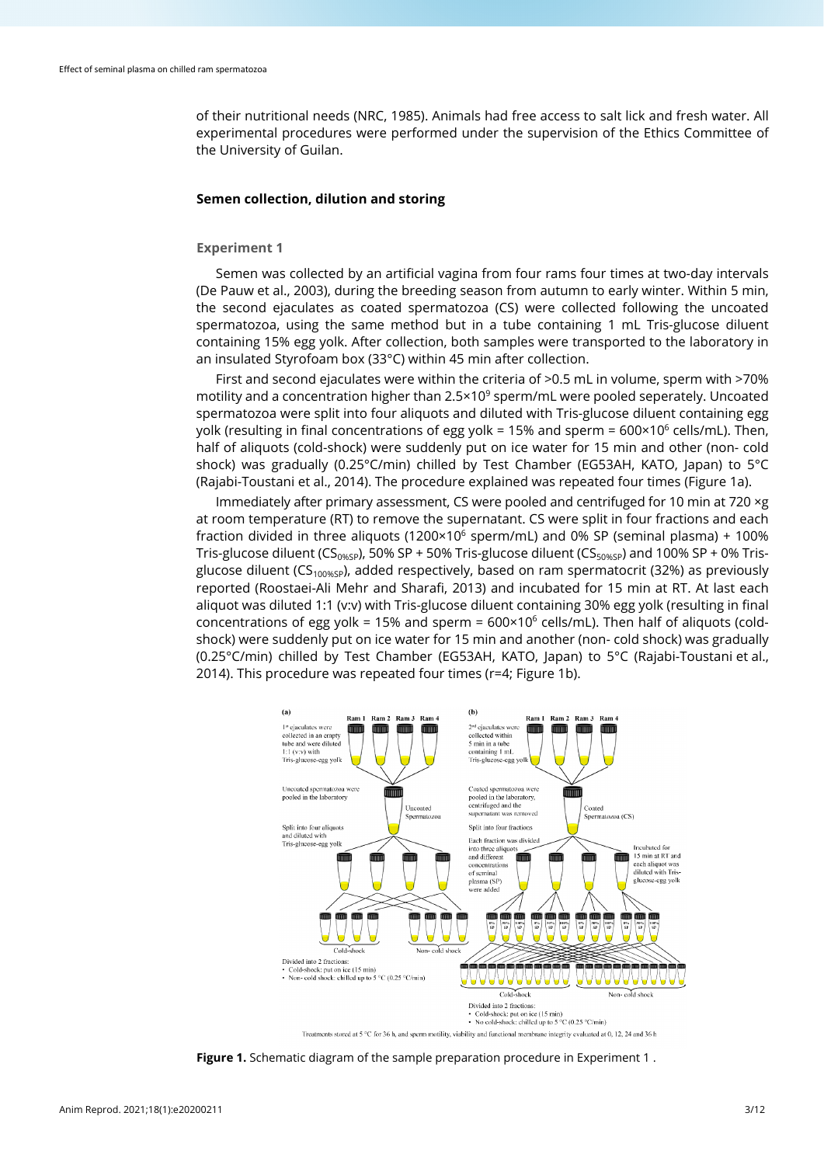of their nutritional needs (NRC, 1985). Animals had free access to salt lick and fresh water. All experimental procedures were performed under the supervision of the Ethics Committee of the University of Guilan.

### **Semen collection, dilution and storing**

## **Experiment 1**

Semen was collected by an artificial vagina from four rams four times at two-day intervals (De Pauw et al., 2003), during the breeding season from autumn to early winter. Within 5 min, the second ejaculates as coated spermatozoa (CS) were collected following the uncoated spermatozoa, using the same method but in a tube containing 1 mL Tris-glucose diluent containing 15% egg yolk. After collection, both samples were transported to the laboratory in an insulated Styrofoam box (33°C) within 45 min after collection.

First and second ejaculates were within the criteria of >0.5 mL in volume, sperm with >70% motility and a concentration higher than 2.5×10<sup>9</sup> sperm/mL were pooled seperately. Uncoated spermatozoa were split into four aliquots and diluted with Tris-glucose diluent containing egg yolk (resulting in final concentrations of egg yolk = 15% and sperm =  $600 \times 10^6$  cells/mL). Then, half of aliquots (cold-shock) were suddenly put on ice water for 15 min and other (non- cold shock) was gradually (0.25°C/min) chilled by Test Chamber (EG53AH, KATO, Japan) to 5°C (Rajabi-Toustani et al., 2014). The procedure explained was repeated four times (Figure 1a).

Immediately after primary assessment, CS were pooled and centrifuged for 10 min at 720 ×g at room temperature (RT) to remove the supernatant. CS were split in four fractions and each fraction divided in three aliquots (1200×106 sperm/mL) and 0% SP (seminal plasma) + 100% Tris-glucose diluent (CS<sub>0%SP</sub>), 50% SP + 50% Tris-glucose diluent (CS<sub>50%SP</sub>) and 100% SP + 0% Trisglucose diluent (CS<sub>100%SP</sub>), added respectively, based on ram spermatocrit (32%) as previously reported (Roostaei-Ali Mehr and Sharafi, 2013) and incubated for 15 min at RT. At last each aliquot was diluted 1:1 (v:v) with Tris-glucose diluent containing 30% egg yolk (resulting in final concentrations of egg yolk = 15% and sperm =  $600 \times 10^6$  cells/mL). Then half of aliquots (coldshock) were suddenly put on ice water for 15 min and another (non- cold shock) was gradually (0.25°C/min) chilled by Test Chamber (EG53AH, KATO, Japan) to 5°C (Rajabi-Toustani et al., 2014). This procedure was repeated four times (r=4; Figure 1b).



**Figure 1.** Schematic diagram of the sample preparation procedure in Experiment 1 .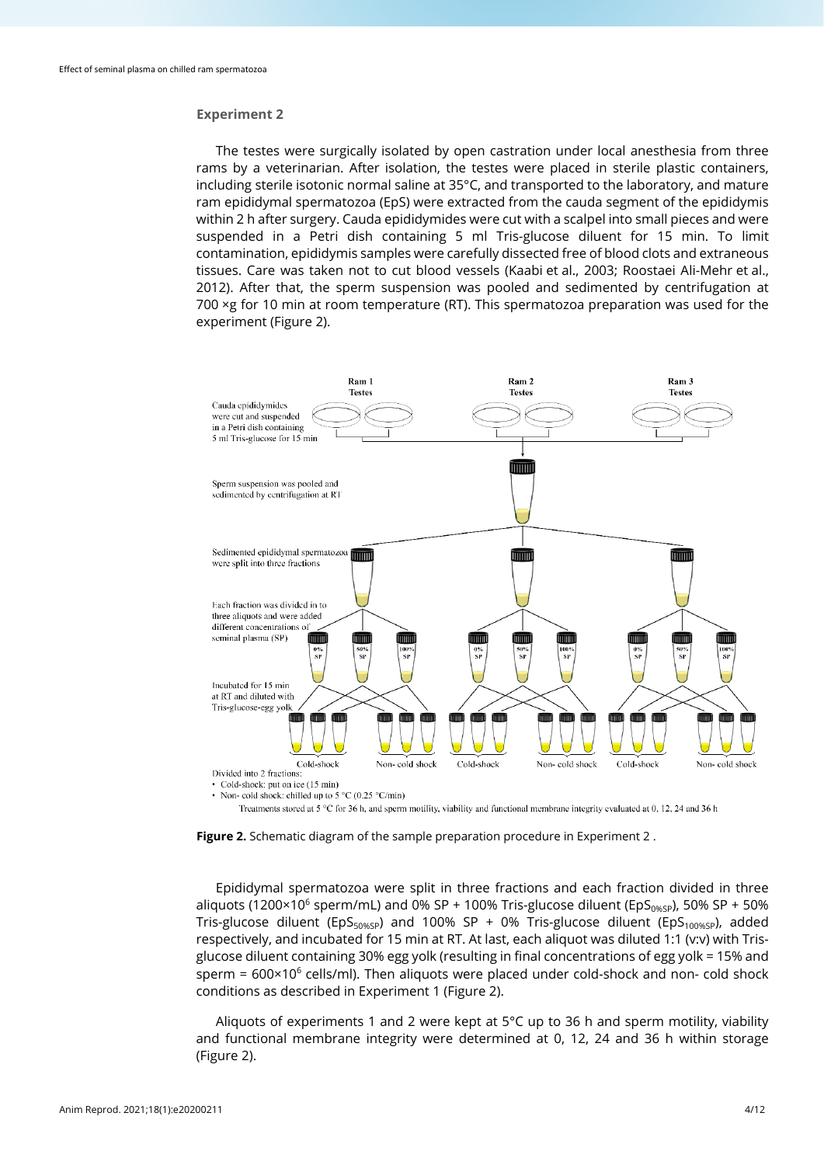## **Experiment 2**

The testes were surgically isolated by open castration under local anesthesia from three rams by a veterinarian. After isolation, the testes were placed in sterile plastic containers, including sterile isotonic normal saline at 35°C, and transported to the laboratory, and mature ram epididymal spermatozoa (EpS) were extracted from the cauda segment of the epididymis within 2 h after surgery. Cauda epididymides were cut with a scalpel into small pieces and were suspended in a Petri dish containing 5 ml Tris-glucose diluent for 15 min. To limit contamination, epididymis samples were carefully dissected free of blood clots and extraneous tissues. Care was taken not to cut blood vessels (Kaabi et al., 2003; Roostaei Ali-Mehr et al., 2012). After that, the sperm suspension was pooled and sedimented by centrifugation at 700 ×g for 10 min at room temperature (RT). This spermatozoa preparation was used for the experiment (Figure 2).



• Non- cold shock: chilled up to 5 °C (0.25 °C/min)

Treatments stored at  $5^{\circ}$ C for 36 h, and sperm motility, viability and functional membrane integrity evaluated at 0, 12, 24 and 36 h

**Figure 2.** Schematic diagram of the sample preparation procedure in Experiment 2 .

Epididymal spermatozoa were split in three fractions and each fraction divided in three aliquots (1200×10<sup>6</sup> sperm/mL) and 0% SP + 100% Tris-glucose diluent (EpS<sub>0%SP</sub>), 50% SP + 50% Tris-glucose diluent (EpS<sub>50%SP</sub>) and 100% SP + 0% Tris-glucose diluent (EpS<sub>100%SP</sub>), added respectively, and incubated for 15 min at RT. At last, each aliquot was diluted 1:1 (v:v) with Trisglucose diluent containing 30% egg yolk (resulting in final concentrations of egg yolk = 15% and sperm =  $600 \times 10^6$  cells/ml). Then aliquots were placed under cold-shock and non- cold shock conditions as described in Experiment 1 (Figure 2).

Aliquots of experiments 1 and 2 were kept at 5°C up to 36 h and sperm motility, viability and functional membrane integrity were determined at 0, 12, 24 and 36 h within storage (Figure 2).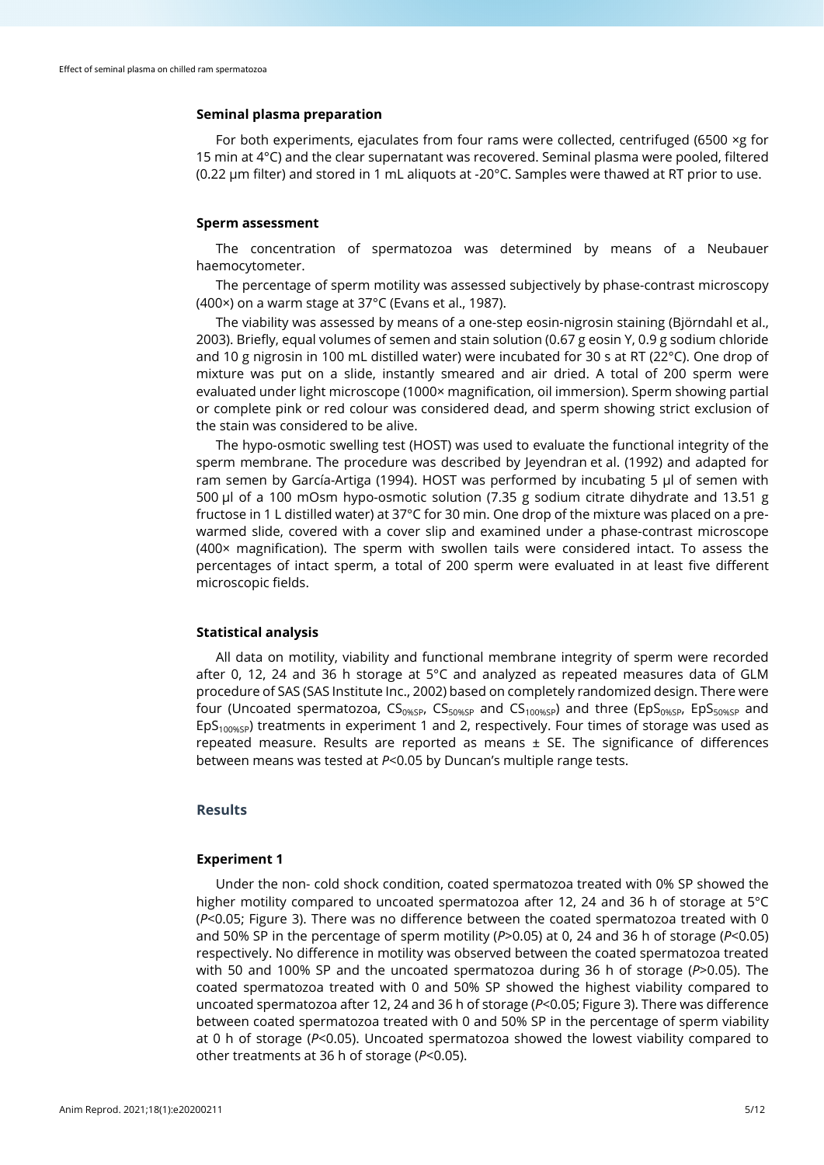## **Seminal plasma preparation**

For both experiments, ejaculates from four rams were collected, centrifuged (6500 ×g for 15 min at 4°C) and the clear supernatant was recovered. Seminal plasma were pooled, filtered (0.22 µm filter) and stored in 1 mL aliquots at -20°C. Samples were thawed at RT prior to use.

#### **Sperm assessment**

The concentration of spermatozoa was determined by means of a Neubauer haemocytometer.

The percentage of sperm motility was assessed subjectively by phase-contrast microscopy (400×) on a warm stage at 37°C (Evans et al., 1987).

The viability was assessed by means of a one-step eosin-nigrosin staining (Björndahl et al., 2003). Briefly, equal volumes of semen and stain solution (0.67 g eosin Y, 0.9 g sodium chloride and 10 g nigrosin in 100 mL distilled water) were incubated for 30 s at RT (22°C). One drop of mixture was put on a slide, instantly smeared and air dried. A total of 200 sperm were evaluated under light microscope (1000× magnification, oil immersion). Sperm showing partial or complete pink or red colour was considered dead, and sperm showing strict exclusion of the stain was considered to be alive.

The hypo-osmotic swelling test (HOST) was used to evaluate the functional integrity of the sperm membrane. The procedure was described by Jeyendran et al. (1992) and adapted for ram semen by García-Artiga (1994). HOST was performed by incubating 5 μl of semen with 500 μl of a 100 mOsm hypo-osmotic solution (7.35 g sodium citrate dihydrate and 13.51 g fructose in 1 L distilled water) at 37°C for 30 min. One drop of the mixture was placed on a prewarmed slide, covered with a cover slip and examined under a phase-contrast microscope (400× magnification). The sperm with swollen tails were considered intact. To assess the percentages of intact sperm, a total of 200 sperm were evaluated in at least five different microscopic fields.

#### **Statistical analysis**

All data on motility, viability and functional membrane integrity of sperm were recorded after 0, 12, 24 and 36 h storage at 5°C and analyzed as repeated measures data of GLM procedure of SAS (SAS Institute Inc., 2002) based on completely randomized design. There were four (Uncoated spermatozoa,  $CS<sub>0%SP</sub>$ ,  $CS<sub>50%SP</sub>$  and  $CS<sub>100%SP</sub>$ ) and three ( $EDS<sub>0%SP</sub>$ ,  $EDS<sub>50%SP</sub>$  and  $EDS<sub>100%SP</sub>$ ) treatments in experiment 1 and 2, respectively. Four times of storage was used as repeated measure. Results are reported as means  $\pm$  SE. The significance of differences between means was tested at *P*<0.05 by Duncan's multiple range tests.

## **Results**

#### **Experiment 1**

Under the non- cold shock condition, coated spermatozoa treated with 0% SP showed the higher motility compared to uncoated spermatozoa after 12, 24 and 36 h of storage at 5°C (*P*<0.05; Figure 3). There was no difference between the coated spermatozoa treated with 0 and 50% SP in the percentage of sperm motility (*P*>0.05) at 0, 24 and 36 h of storage (*P*<0.05) respectively. No difference in motility was observed between the coated spermatozoa treated with 50 and 100% SP and the uncoated spermatozoa during 36 h of storage (*P*>0.05). The coated spermatozoa treated with 0 and 50% SP showed the highest viability compared to uncoated spermatozoa after 12, 24 and 36 h of storage (*P*<0.05; Figure 3). There was difference between coated spermatozoa treated with 0 and 50% SP in the percentage of sperm viability at 0 h of storage (*P*<0.05). Uncoated spermatozoa showed the lowest viability compared to other treatments at 36 h of storage (*P*<0.05).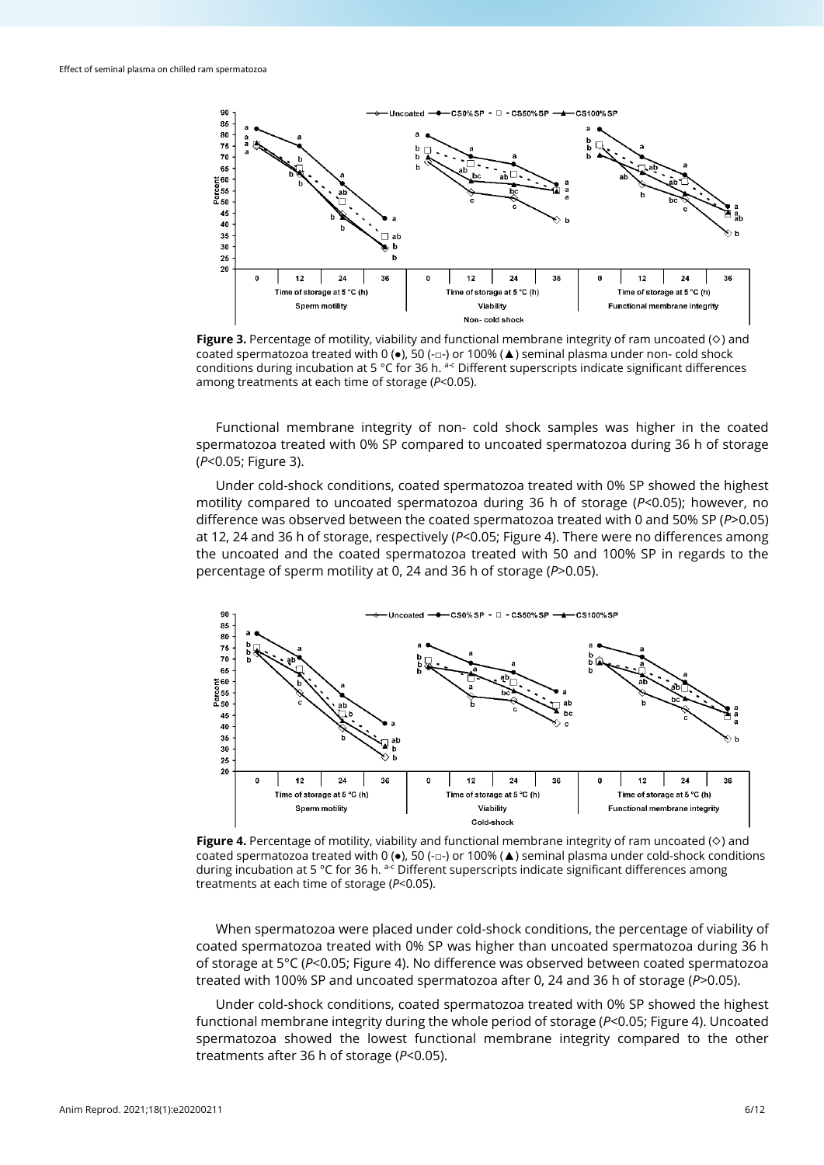

**Figure 3.** Percentage of motility, viability and functional membrane integrity of ram uncoated (◇) and coated spermatozoa treated with 0 ( $\bullet$ ), 50 (- $\Box$ -) or 100% ( $\blacktriangle$ ) seminal plasma under non- cold shock conditions during incubation at 5 °C for 36 h.  $a-c$  Different superscripts indicate significant differences among treatments at each time of storage (*P*<0.05).

Functional membrane integrity of non- cold shock samples was higher in the coated spermatozoa treated with 0% SP compared to uncoated spermatozoa during 36 h of storage (*P*<0.05; Figure 3).

Under cold-shock conditions, coated spermatozoa treated with 0% SP showed the highest motility compared to uncoated spermatozoa during 36 h of storage (*P*<0.05); however, no difference was observed between the coated spermatozoa treated with 0 and 50% SP (*P*>0.05) at 12, 24 and 36 h of storage, respectively (*P*<0.05; Figure 4). There were no differences among the uncoated and the coated spermatozoa treated with 50 and 100% SP in regards to the percentage of sperm motility at 0, 24 and 36 h of storage (*P*>0.05).



**Figure 4.** Percentage of motility, viability and functional membrane integrity of ram uncoated (◇) and coated spermatozoa treated with 0 ( $\bullet$ ), 50 (- $\Box$ -) or 100% ( $\blacktriangle$ ) seminal plasma under cold-shock conditions during incubation at 5 °C for 36 h. a-c Different superscripts indicate significant differences among treatments at each time of storage (*P*<0.05).

When spermatozoa were placed under cold-shock conditions, the percentage of viability of coated spermatozoa treated with 0% SP was higher than uncoated spermatozoa during 36 h of storage at 5°C (*P*<0.05; Figure 4). No difference was observed between coated spermatozoa treated with 100% SP and uncoated spermatozoa after 0, 24 and 36 h of storage (*P*>0.05).

Under cold-shock conditions, coated spermatozoa treated with 0% SP showed the highest functional membrane integrity during the whole period of storage (*P*<0.05; Figure 4). Uncoated spermatozoa showed the lowest functional membrane integrity compared to the other treatments after 36 h of storage (*P*<0.05).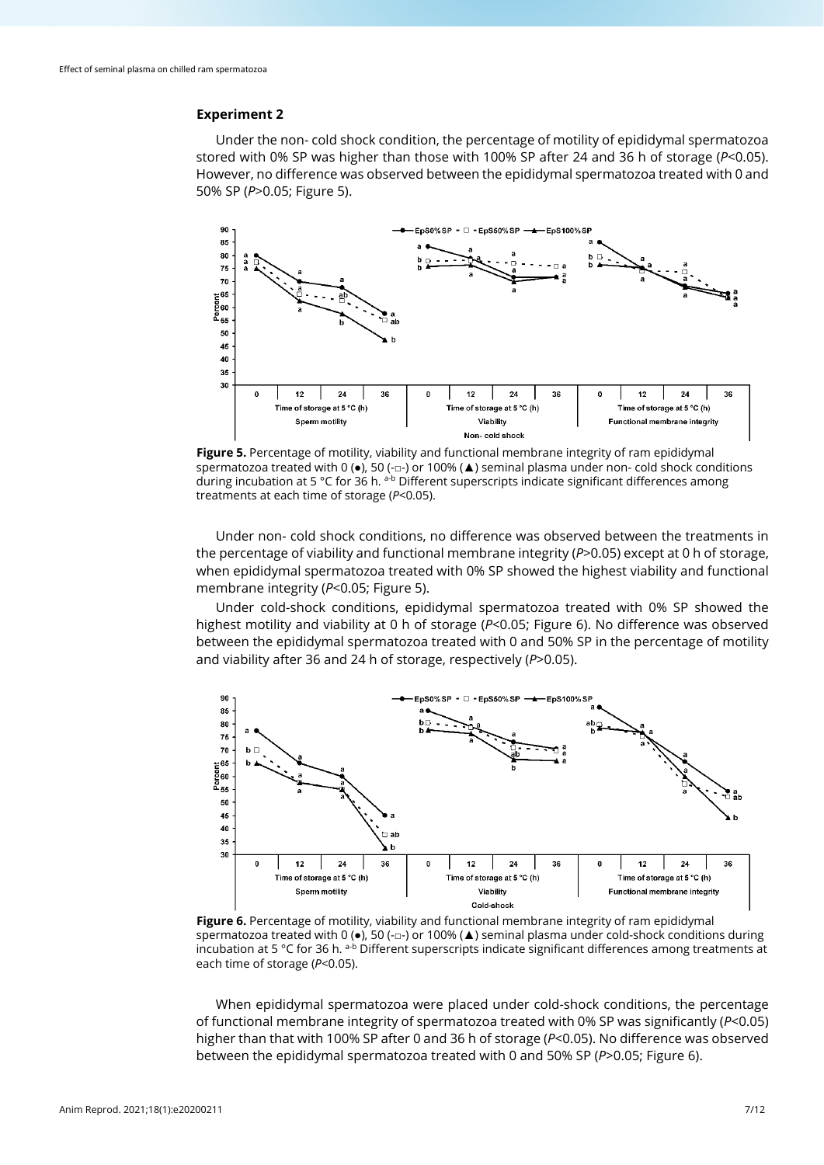## **Experiment 2**

Under the non- cold shock condition, the percentage of motility of epididymal spermatozoa stored with 0% SP was higher than those with 100% SP after 24 and 36 h of storage (*P*<0.05). However, no difference was observed between the epididymal spermatozoa treated with 0 and 50% SP (*P*>0.05; Figure 5).



**Figure 5.** Percentage of motility, viability and functional membrane integrity of ram epididymal spermatozoa treated with 0 (●), 50 (-□-) or 100% (▲) seminal plasma under non- cold shock conditions during incubation at 5 °C for 36 h. a-b Different superscripts indicate significant differences among treatments at each time of storage (*P*<0.05).

Under non- cold shock conditions, no difference was observed between the treatments in the percentage of viability and functional membrane integrity (*P*>0.05) except at 0 h of storage, when epididymal spermatozoa treated with 0% SP showed the highest viability and functional membrane integrity (*P*<0.05; Figure 5).

Under cold-shock conditions, epididymal spermatozoa treated with 0% SP showed the highest motility and viability at 0 h of storage (*P*<0.05; Figure 6). No difference was observed between the epididymal spermatozoa treated with 0 and 50% SP in the percentage of motility and viability after 36 and 24 h of storage, respectively (*P*>0.05).



Figure 6. Percentage of motility, viability and functional membrane integrity of ram epididymal spermatozoa treated with 0 (●), 50 (-□-) or 100% (▲) seminal plasma under cold-shock conditions during incubation at 5 °C for 36 h. a-b Different superscripts indicate significant differences among treatments at each time of storage (*P*<0.05).

When epididymal spermatozoa were placed under cold-shock conditions, the percentage of functional membrane integrity of spermatozoa treated with 0% SP was significantly (*P*<0.05) higher than that with 100% SP after 0 and 36 h of storage (*P*<0.05). No difference was observed between the epididymal spermatozoa treated with 0 and 50% SP (*P*>0.05; Figure 6).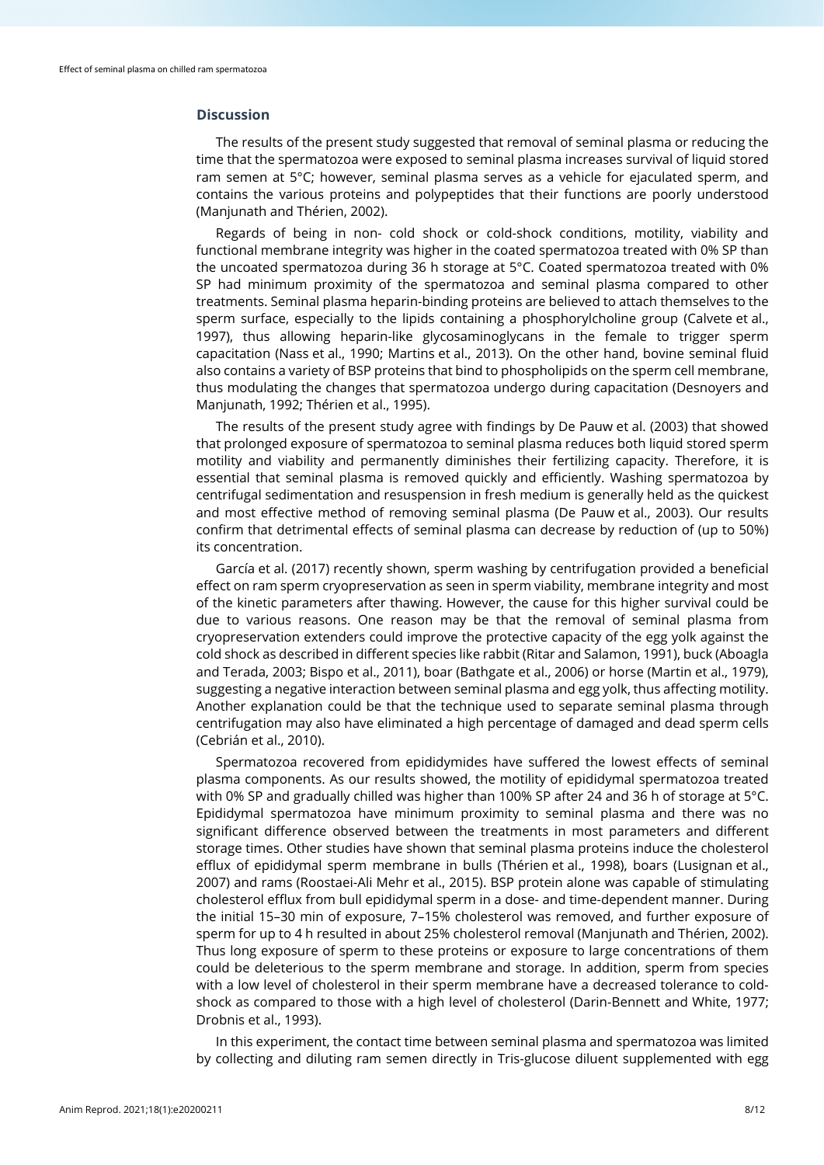## **Discussion**

The results of the present study suggested that removal of seminal plasma or reducing the time that the spermatozoa were exposed to seminal plasma increases survival of liquid stored ram semen at 5°C; however, seminal plasma serves as a vehicle for ejaculated sperm, and contains the various proteins and polypeptides that their functions are poorly understood (Manjunath and Thérien, 2002).

Regards of being in non- cold shock or cold-shock conditions, motility, viability and functional membrane integrity was higher in the coated spermatozoa treated with 0% SP than the uncoated spermatozoa during 36 h storage at 5°C. Coated spermatozoa treated with 0% SP had minimum proximity of the spermatozoa and seminal plasma compared to other treatments. Seminal plasma heparin-binding proteins are believed to attach themselves to the sperm surface, especially to the lipids containing a phosphorylcholine group (Calvete et al., 1997), thus allowing heparin-like glycosaminoglycans in the female to trigger sperm capacitation (Nass et al., 1990; Martins et al., 2013). On the other hand, bovine seminal fluid also contains a variety of BSP proteins that bind to phospholipids on the sperm cell membrane, thus modulating the changes that spermatozoa undergo during capacitation (Desnoyers and Manjunath, 1992; Thérien et al., 1995).

The results of the present study agree with findings by De Pauw et al. (2003) that showed that prolonged exposure of spermatozoa to seminal plasma reduces both liquid stored sperm motility and viability and permanently diminishes their fertilizing capacity. Therefore, it is essential that seminal plasma is removed quickly and efficiently. Washing spermatozoa by centrifugal sedimentation and resuspension in fresh medium is generally held as the quickest and most effective method of removing seminal plasma (De Pauw et al., 2003). Our results confirm that detrimental effects of seminal plasma can decrease by reduction of (up to 50%) its concentration.

García et al. (2017) recently shown, sperm washing by centrifugation provided a beneficial effect on ram sperm cryopreservation as seen in sperm viability, membrane integrity and most of the kinetic parameters after thawing. However, the cause for this higher survival could be due to various reasons. One reason may be that the removal of seminal plasma from cryopreservation extenders could improve the protective capacity of the egg yolk against the cold shock as described in different species like rabbit (Ritar and Salamon, 1991), buck (Aboagla and Terada, 2003; Bispo et al., 2011), boar (Bathgate et al., 2006) or horse (Martin et al., 1979), suggesting a negative interaction between seminal plasma and egg yolk, thus affecting motility. Another explanation could be that the technique used to separate seminal plasma through centrifugation may also have eliminated a high percentage of damaged and dead sperm cells (Cebrián et al., 2010).

Spermatozoa recovered from epididymides have suffered the lowest effects of seminal plasma components. As our results showed, the motility of epididymal spermatozoa treated with 0% SP and gradually chilled was higher than 100% SP after 24 and 36 h of storage at 5°C. Epididymal spermatozoa have minimum proximity to seminal plasma and there was no significant difference observed between the treatments in most parameters and different storage times. Other studies have shown that seminal plasma proteins induce the cholesterol efflux of epididymal sperm membrane in bulls (Thérien et al., 1998), boars (Lusignan et al., 2007) and rams (Roostaei-Ali Mehr et al., 2015). BSP protein alone was capable of stimulating cholesterol efflux from bull epididymal sperm in a dose- and time-dependent manner. During the initial 15–30 min of exposure, 7–15% cholesterol was removed, and further exposure of sperm for up to 4 h resulted in about 25% cholesterol removal (Manjunath and Thérien, 2002). Thus long exposure of sperm to these proteins or exposure to large concentrations of them could be deleterious to the sperm membrane and storage. In addition, sperm from species with a low level of cholesterol in their sperm membrane have a decreased tolerance to coldshock as compared to those with a high level of cholesterol (Darin-Bennett and White, 1977; Drobnis et al., 1993).

In this experiment, the contact time between seminal plasma and spermatozoa was limited by collecting and diluting ram semen directly in Tris-glucose diluent supplemented with egg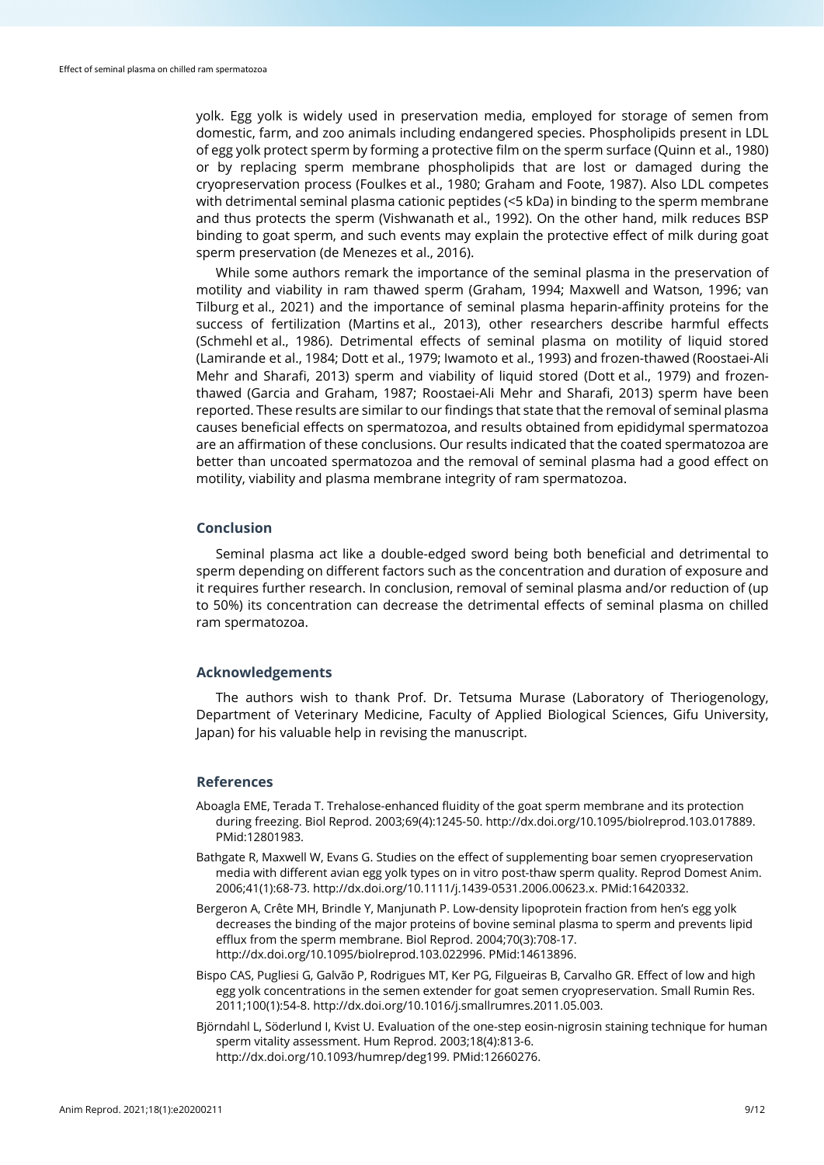yolk. Egg yolk is widely used in preservation media, employed for storage of semen from domestic, farm, and zoo animals including endangered species. Phospholipids present in LDL of egg yolk protect sperm by forming a protective film on the sperm surface (Quinn et al., 1980) or by replacing sperm membrane phospholipids that are lost or damaged during the cryopreservation process (Foulkes et al., 1980; Graham and Foote, 1987). Also LDL competes with detrimental seminal plasma cationic peptides (<5 kDa) in binding to the sperm membrane and thus protects the sperm (Vishwanath et al., 1992). On the other hand, milk reduces BSP binding to goat sperm, and such events may explain the protective effect of milk during goat sperm preservation (de Menezes et al., 2016).

While some authors remark the importance of the seminal plasma in the preservation of motility and viability in ram thawed sperm (Graham, 1994; Maxwell and Watson, 1996; van Tilburg et al., 2021) and the importance of seminal plasma heparin-affinity proteins for the success of fertilization (Martins et al., 2013), other researchers describe harmful effects (Schmehl et al., 1986). Detrimental effects of seminal plasma on motility of liquid stored (Lamirande et al., 1984; Dott et al., 1979; Iwamoto et al., 1993) and frozen-thawed (Roostaei-Ali Mehr and Sharafi, 2013) sperm and viability of liquid stored (Dott et al., 1979) and frozenthawed (Garcia and Graham, 1987; Roostaei-Ali Mehr and Sharafi, 2013) sperm have been reported. These results are similar to our findings that state that the removal of seminal plasma causes beneficial effects on spermatozoa, and results obtained from epididymal spermatozoa are an affirmation of these conclusions. Our results indicated that the coated spermatozoa are better than uncoated spermatozoa and the removal of seminal plasma had a good effect on motility, viability and plasma membrane integrity of ram spermatozoa.

#### **Conclusion**

Seminal plasma act like a double-edged sword being both beneficial and detrimental to sperm depending on different factors such as the concentration and duration of exposure and it requires further research. In conclusion, removal of seminal plasma and/or reduction of (up to 50%) its concentration can decrease the detrimental effects of seminal plasma on chilled ram spermatozoa.

### **Acknowledgements**

The authors wish to thank Prof. Dr. Tetsuma Murase (Laboratory of Theriogenology, Department of Veterinary Medicine, Faculty of Applied Biological Sciences, Gifu University, Japan) for his valuable help in revising the manuscript.

#### **References**

- Aboagla EME, Terada T. Trehalose-enhanced fluidity of the goat sperm membrane and its protection during freezing. Biol Reprod. 2003;69(4):1245-50. [http://dx.doi.org/10.1095/biolreprod.103.017889.](https://doi.org/10.1095/biolreprod.103.017889) [PMid:12801983.](https://www.ncbi.nlm.nih.gov/entrez/query.fcgi?cmd=Retrieve&db=PubMed&list_uids=12801983&dopt=Abstract)
- Bathgate R, Maxwell W, Evans G. Studies on the effect of supplementing boar semen cryopreservation media with different avian egg yolk types on in vitro post-thaw sperm quality. Reprod Domest Anim. 2006;41(1):68-73[. http://dx.doi.org/10.1111/j.1439-0531.2006.00623.x.](https://doi.org/10.1111/j.1439-0531.2006.00623.x) [PMid:16420332.](https://www.ncbi.nlm.nih.gov/entrez/query.fcgi?cmd=Retrieve&db=PubMed&list_uids=16420332&dopt=Abstract)
- Bergeron A, Crête MH, Brindle Y, Manjunath P. Low-density lipoprotein fraction from hen's egg yolk decreases the binding of the major proteins of bovine seminal plasma to sperm and prevents lipid efflux from the sperm membrane. Biol Reprod. 2004;70(3):708-17. [http://dx.doi.org/10.1095/biolreprod.103.022996.](https://doi.org/10.1095/biolreprod.103.022996) [PMid:14613896.](https://www.ncbi.nlm.nih.gov/entrez/query.fcgi?cmd=Retrieve&db=PubMed&list_uids=14613896&dopt=Abstract)
- Bispo CAS, Pugliesi G, Galvão P, Rodrigues MT, Ker PG, Filgueiras B, Carvalho GR. Effect of low and high egg yolk concentrations in the semen extender for goat semen cryopreservation. Small Rumin Res. 2011;100(1):54-8[. http://dx.doi.org/10.1016/j.smallrumres.2011.05.003.](https://doi.org/10.1016/j.smallrumres.2011.05.003)
- Björndahl L, Söderlund I, Kvist U. Evaluation of the one-step eosin-nigrosin staining technique for human sperm vitality assessment. Hum Reprod. 2003;18(4):813-6. [http://dx.doi.org/10.1093/humrep/deg199.](https://doi.org/10.1093/humrep/deg199) [PMid:12660276.](https://www.ncbi.nlm.nih.gov/entrez/query.fcgi?cmd=Retrieve&db=PubMed&list_uids=12660276&dopt=Abstract)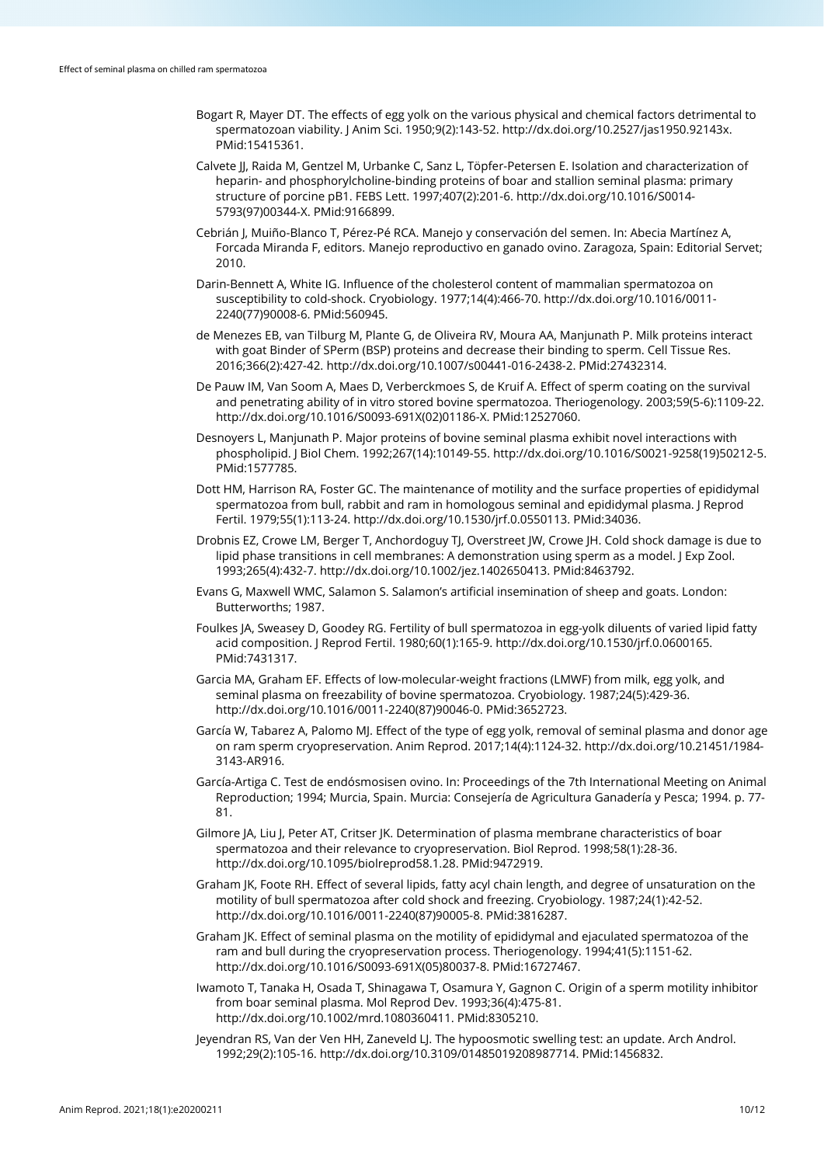- Bogart R, Mayer DT. The effects of egg yolk on the various physical and chemical factors detrimental to spermatozoan viability. J Anim Sci. 1950;9(2):143-52. [http://dx.doi.org/10.2527/jas1950.92143x](https://doi.org/10.2527/jas1950.92143x)[.](https://www.ncbi.nlm.nih.gov/entrez/query.fcgi?cmd=Retrieve&db=PubMed&list_uids=15415361&dopt=Abstract) [PMid:15415361.](https://www.ncbi.nlm.nih.gov/entrez/query.fcgi?cmd=Retrieve&db=PubMed&list_uids=15415361&dopt=Abstract)
- Calvete JJ, Raida M, Gentzel M, Urbanke C, Sanz L, Töpfer-Petersen E. Isolation and characterization of heparin- and phosphorylcholine-binding proteins of boar and stallion seminal plasma: primary structure of porcine pB1. FEBS Lett. 1997;407(2):201-6[. http://dx.doi.org/10.1016/S0014-](https://doi.org/10.1016/S0014-5793(97)00344-X) [5793\(97\)00344-X.](https://doi.org/10.1016/S0014-5793(97)00344-X) [PMid:9166899.](https://www.ncbi.nlm.nih.gov/entrez/query.fcgi?cmd=Retrieve&db=PubMed&list_uids=9166899&dopt=Abstract)
- Cebrián J, Muiño-Blanco T, Pérez-Pé RCA. Manejo y conservación del semen. In: Abecia Martínez A, Forcada Miranda F, editors. Manejo reproductivo en ganado ovino. Zaragoza, Spain: Editorial Servet; 2010.
- Darin-Bennett A, White IG. Influence of the cholesterol content of mammalian spermatozoa on susceptibility to cold-shock. Cryobiology. 1977;14(4):466-70. [http://dx.doi.org/10.1016/0011-](https://doi.org/10.1016/0011-2240(77)90008-6) [2240\(77\)90008-6.](https://doi.org/10.1016/0011-2240(77)90008-6) [PMid:560945.](https://www.ncbi.nlm.nih.gov/entrez/query.fcgi?cmd=Retrieve&db=PubMed&list_uids=560945&dopt=Abstract)
- de Menezes EB, van Tilburg M, Plante G, de Oliveira RV, Moura AA, Manjunath P. Milk proteins interact with goat Binder of SPerm (BSP) proteins and decrease their binding to sperm. Cell Tissue Res. 2016;366(2):427-42. [http://dx.doi.org/10.1007/s00441-016-2438-2.](https://doi.org/10.1007/s00441-016-2438-2) [PMid:27432314.](https://www.ncbi.nlm.nih.gov/entrez/query.fcgi?cmd=Retrieve&db=PubMed&list_uids=27432314&dopt=Abstract)
- De Pauw IM, Van Soom A, Maes D, Verberckmoes S, de Kruif A. Effect of sperm coating on the survival and penetrating ability of in vitro stored bovine spermatozoa. Theriogenology. 2003;59(5-6):1109-22. [http://dx.doi.org/10.1016/S0093-691X\(02\)01186-X.](https://doi.org/10.1016/S0093-691X(02)01186-X) [PMid:12527060.](https://www.ncbi.nlm.nih.gov/entrez/query.fcgi?cmd=Retrieve&db=PubMed&list_uids=12527060&dopt=Abstract)
- Desnoyers L, Manjunath P. Major proteins of bovine seminal plasma exhibit novel interactions with phospholipid. J Biol Chem. 1992;267(14):10149-55[. http://dx.doi.org/10.1016/S0021-9258\(19\)50212-5](https://doi.org/10.1016/S0021-9258(19)50212-5)[.](https://www.ncbi.nlm.nih.gov/entrez/query.fcgi?cmd=Retrieve&db=PubMed&list_uids=1577785&dopt=Abstract) [PMid:1577785.](https://www.ncbi.nlm.nih.gov/entrez/query.fcgi?cmd=Retrieve&db=PubMed&list_uids=1577785&dopt=Abstract)
- Dott HM, Harrison RA, Foster GC. The maintenance of motility and the surface properties of epididymal spermatozoa from bull, rabbit and ram in homologous seminal and epididymal plasma. J Reprod Fertil. 1979;55(1):113-24[. http://dx.doi.org/10.1530/jrf.0.0550113.](https://doi.org/10.1530/jrf.0.0550113) [PMid:34036.](https://www.ncbi.nlm.nih.gov/entrez/query.fcgi?cmd=Retrieve&db=PubMed&list_uids=34036&dopt=Abstract)
- Drobnis EZ, Crowe LM, Berger T, Anchordoguy TJ, Overstreet JW, Crowe JH. Cold shock damage is due to lipid phase transitions in cell membranes: A demonstration using sperm as a model. J Exp Zool. 1993;265(4):432-7. [http://dx.doi.org/10.1002/jez.1402650413.](https://doi.org/10.1002/jez.1402650413) [PMid:8463792.](https://www.ncbi.nlm.nih.gov/entrez/query.fcgi?cmd=Retrieve&db=PubMed&list_uids=8463792&dopt=Abstract)
- Evans G, Maxwell WMC, Salamon S. Salamon's artificial insemination of sheep and goats. London: Butterworths; 1987.
- Foulkes JA, Sweasey D, Goodey RG. Fertility of bull spermatozoa in egg-yolk diluents of varied lipid fatty acid composition. J Reprod Fertil. 1980;60(1):165-9[. http://dx.doi.org/10.1530/jrf.0.0600165.](https://doi.org/10.1530/jrf.0.0600165) [PMid:7431317.](https://www.ncbi.nlm.nih.gov/entrez/query.fcgi?cmd=Retrieve&db=PubMed&list_uids=7431317&dopt=Abstract)
- Garcia MA, Graham EF. Effects of low-molecular-weight fractions (LMWF) from milk, egg yolk, and seminal plasma on freezability of bovine spermatozoa. Cryobiology. 1987;24(5):429-36. [http://dx.doi.org/10.1016/0011-2240\(87\)90046-0.](https://doi.org/10.1016/0011-2240(87)90046-0) [PMid:3652723.](https://www.ncbi.nlm.nih.gov/entrez/query.fcgi?cmd=Retrieve&db=PubMed&list_uids=3652723&dopt=Abstract)
- García W, Tabarez A, Palomo MJ. Effect of the type of egg yolk, removal of seminal plasma and donor age on ram sperm cryopreservation. Anim Reprod. 2017;14(4):1124-32[. http://dx.doi.org/10.21451/1984-](https://doi.org/10.21451/1984-3143-AR916) [3143-AR916.](https://doi.org/10.21451/1984-3143-AR916)
- García-Artiga C. Test de endósmosisen ovino. In: Proceedings of the 7th International Meeting on Animal Reproduction; 1994; Murcia, Spain. Murcia: Consejería de Agricultura Ganadería y Pesca; 1994. p. 77- 81.
- Gilmore JA, Liu J, Peter AT, Critser JK. Determination of plasma membrane characteristics of boar spermatozoa and their relevance to cryopreservation. Biol Reprod. 1998;58(1):28-36. [http://dx.doi.org/10.1095/biolreprod58.1.28.](https://doi.org/10.1095/biolreprod58.1.28) [PMid:9472919.](https://www.ncbi.nlm.nih.gov/entrez/query.fcgi?cmd=Retrieve&db=PubMed&list_uids=9472919&dopt=Abstract)
- Graham JK, Foote RH. Effect of several lipids, fatty acyl chain length, and degree of unsaturation on the motility of bull spermatozoa after cold shock and freezing. Cryobiology. 1987;24(1):42-52. [http://dx.doi.org/10.1016/0011-2240\(87\)90005-8.](https://doi.org/10.1016/0011-2240(87)90005-8) [PMid:3816287.](https://www.ncbi.nlm.nih.gov/entrez/query.fcgi?cmd=Retrieve&db=PubMed&list_uids=3816287&dopt=Abstract)
- Graham JK. Effect of seminal plasma on the motility of epididymal and ejaculated spermatozoa of the ram and bull during the cryopreservation process. Theriogenology. 1994;41(5):1151-62. [http://dx.doi.org/10.1016/S0093-691X\(05\)80037-8.](https://doi.org/10.1016/S0093-691X(05)80037-8) [PMid:16727467.](https://www.ncbi.nlm.nih.gov/entrez/query.fcgi?cmd=Retrieve&db=PubMed&list_uids=16727467&dopt=Abstract)
- Iwamoto T, Tanaka H, Osada T, Shinagawa T, Osamura Y, Gagnon C. Origin of a sperm motility inhibitor from boar seminal plasma. Mol Reprod Dev. 1993;36(4):475-81. [http://dx.doi.org/10.1002/mrd.1080360411.](https://doi.org/10.1002/mrd.1080360411) [PMid:8305210.](https://www.ncbi.nlm.nih.gov/entrez/query.fcgi?cmd=Retrieve&db=PubMed&list_uids=8305210&dopt=Abstract)
- Jeyendran RS, Van der Ven HH, Zaneveld LJ. The hypoosmotic swelling test: an update. Arch Androl. 1992;29(2):105-16. [http://dx.doi.org/10.3109/01485019208987714.](https://doi.org/10.3109/01485019208987714) [PMid:1456832.](https://www.ncbi.nlm.nih.gov/entrez/query.fcgi?cmd=Retrieve&db=PubMed&list_uids=1456832&dopt=Abstract)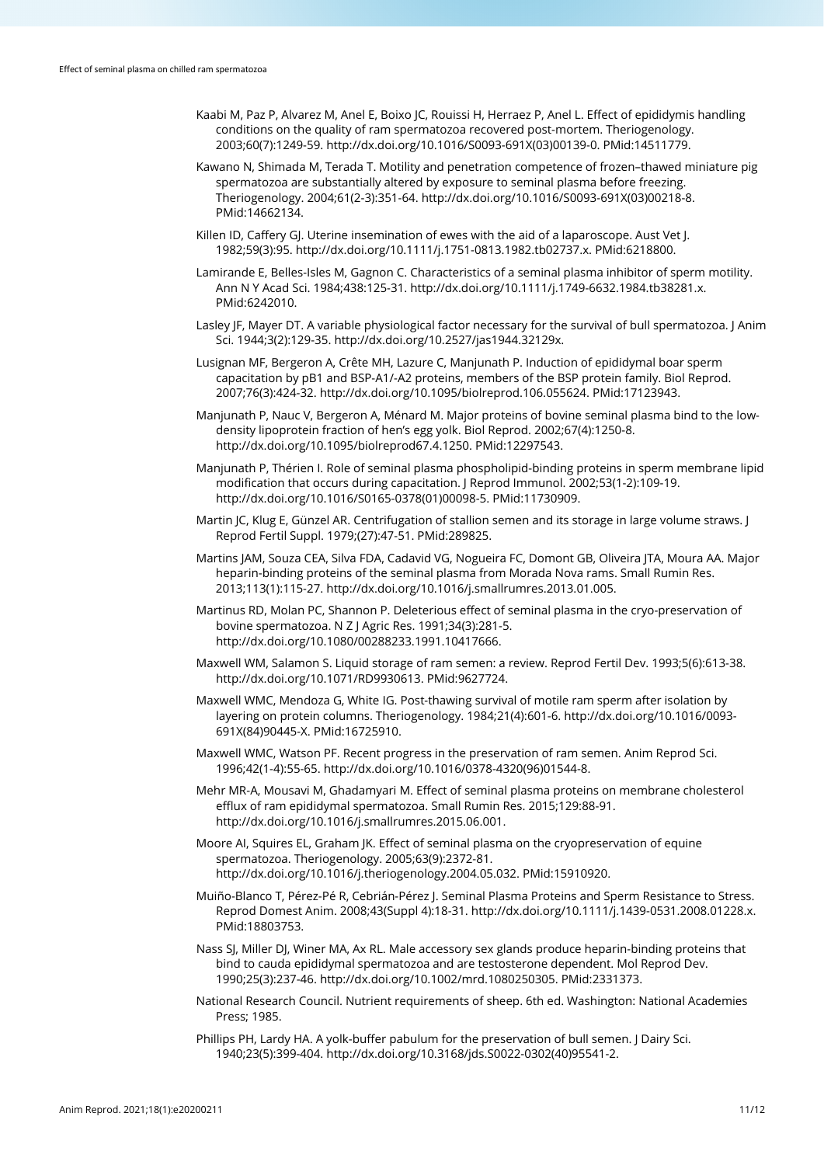- Kaabi M, Paz P, Alvarez M, Anel E, Boixo JC, Rouissi H, Herraez P, Anel L. Effect of epididymis handling conditions on the quality of ram spermatozoa recovered post-mortem. Theriogenology. 2003;60(7):1249-59. [http://dx.doi.org/10.1016/S0093-691X\(03\)00139-0.](https://doi.org/10.1016/S0093-691X(03)00139-0) [PMid:14511779.](https://www.ncbi.nlm.nih.gov/entrez/query.fcgi?cmd=Retrieve&db=PubMed&list_uids=14511779&dopt=Abstract)
- Kawano N, Shimada M, Terada T. Motility and penetration competence of frozen–thawed miniature pig spermatozoa are substantially altered by exposure to seminal plasma before freezing. Theriogenology. 2004;61(2-3):351-64[. http://dx.doi.org/10.1016/S0093-691X\(03\)00218-8](https://doi.org/10.1016/S0093-691X(03)00218-8)[.](https://www.ncbi.nlm.nih.gov/entrez/query.fcgi?cmd=Retrieve&db=PubMed&list_uids=14662134&dopt=Abstract) [PMid:14662134.](https://www.ncbi.nlm.nih.gov/entrez/query.fcgi?cmd=Retrieve&db=PubMed&list_uids=14662134&dopt=Abstract)
- Killen ID, Caffery GJ. Uterine insemination of ewes with the aid of a laparoscope. Aust Vet J. 1982;59(3):95[. http://dx.doi.org/10.1111/j.1751-0813.1982.tb02737.x.](https://doi.org/10.1111/j.1751-0813.1982.tb02737.x) [PMid:6218800.](https://www.ncbi.nlm.nih.gov/entrez/query.fcgi?cmd=Retrieve&db=PubMed&list_uids=6218800&dopt=Abstract)
- Lamirande E, Belles-Isles M, Gagnon C. Characteristics of a seminal plasma inhibitor of sperm motility. Ann N Y Acad Sci. 1984;438:125-31[. http://dx.doi.org/10.1111/j.1749-6632.1984.tb38281.x.](https://doi.org/10.1111/j.1749-6632.1984.tb38281.x) [PMid:6242010.](https://www.ncbi.nlm.nih.gov/entrez/query.fcgi?cmd=Retrieve&db=PubMed&list_uids=6242010&dopt=Abstract)
- Lasley JF, Mayer DT. A variable physiological factor necessary for the survival of bull spermatozoa. J Anim Sci. 1944;3(2):129-35[. http://dx.doi.org/10.2527/jas1944.32129x.](https://doi.org/10.2527/jas1944.32129x)
- Lusignan MF, Bergeron A, Crête MH, Lazure C, Manjunath P. Induction of epididymal boar sperm capacitation by pB1 and BSP-A1/-A2 proteins, members of the BSP protein family. Biol Reprod. 2007;76(3):424-32. [http://dx.doi.org/10.1095/biolreprod.106.055624.](https://doi.org/10.1095/biolreprod.106.055624) [PMid:17123943.](https://www.ncbi.nlm.nih.gov/entrez/query.fcgi?cmd=Retrieve&db=PubMed&list_uids=17123943&dopt=Abstract)
- Manjunath P, Nauc V, Bergeron A, Ménard M. Major proteins of bovine seminal plasma bind to the lowdensity lipoprotein fraction of hen's egg yolk. Biol Reprod. 2002;67(4):1250-8. [http://dx.doi.org/10.1095/biolreprod67.4.1250.](https://doi.org/10.1095/biolreprod67.4.1250) [PMid:12297543.](https://www.ncbi.nlm.nih.gov/entrez/query.fcgi?cmd=Retrieve&db=PubMed&list_uids=12297543&dopt=Abstract)
- Manjunath P, Thérien I. Role of seminal plasma phospholipid-binding proteins in sperm membrane lipid modification that occurs during capacitation. J Reprod Immunol. 2002;53(1-2):109-19. [http://dx.doi.org/10.1016/S0165-0378\(01\)00098-5.](https://doi.org/10.1016/S0165-0378(01)00098-5) [PMid:11730909.](https://www.ncbi.nlm.nih.gov/entrez/query.fcgi?cmd=Retrieve&db=PubMed&list_uids=11730909&dopt=Abstract)
- Martin JC, Klug E, Günzel AR. Centrifugation of stallion semen and its storage in large volume straws. J Reprod Fertil Suppl. 1979;(27):47-51. [PMid:289825.](https://www.ncbi.nlm.nih.gov/entrez/query.fcgi?cmd=Retrieve&db=PubMed&list_uids=289825&dopt=Abstract)
- Martins JAM, Souza CEA, Silva FDA, Cadavid VG, Nogueira FC, Domont GB, Oliveira JTA, Moura AA. Major heparin-binding proteins of the seminal plasma from Morada Nova rams. Small Rumin Res. 2013;113(1):115-27. [http://dx.doi.org/10.1016/j.smallrumres.2013.01.005.](https://doi.org/10.1016/j.smallrumres.2013.01.005)
- Martinus RD, Molan PC, Shannon P. Deleterious effect of seminal plasma in the cryo-preservation of bovine spermatozoa. N Z J Agric Res. 1991;34(3):281-5. [http://dx.doi.org/10.1080/00288233.1991.10417666.](https://doi.org/10.1080/00288233.1991.10417666)
- Maxwell WM, Salamon S. Liquid storage of ram semen: a review. Reprod Fertil Dev. 1993;5(6):613-38. [http://dx.doi.org/10.1071/RD9930613.](https://doi.org/10.1071/RD9930613) [PMid:9627724.](https://www.ncbi.nlm.nih.gov/entrez/query.fcgi?cmd=Retrieve&db=PubMed&list_uids=9627724&dopt=Abstract)
- Maxwell WMC, Mendoza G, White IG. Post-thawing survival of motile ram sperm after isolation by layering on protein columns. Theriogenology. 1984;21(4):601-6[. http://dx.doi.org/10.1016/0093-](https://doi.org/10.1016/0093-691X(84)90445-X) [691X\(84\)90445-X.](https://doi.org/10.1016/0093-691X(84)90445-X) [PMid:16725910.](https://www.ncbi.nlm.nih.gov/entrez/query.fcgi?cmd=Retrieve&db=PubMed&list_uids=16725910&dopt=Abstract)
- Maxwell WMC, Watson PF. Recent progress in the preservation of ram semen. Anim Reprod Sci. 1996;42(1-4):55-65. [http://dx.doi.org/10.1016/0378-4320\(96\)01544-8.](https://doi.org/10.1016/0378-4320(96)01544-8)
- Mehr MR-A, Mousavi M, Ghadamyari M. Effect of seminal plasma proteins on membrane cholesterol efflux of ram epididymal spermatozoa. Small Rumin Res. 2015;129:88-91. [http://dx.doi.org/10.1016/j.smallrumres.2015.06.001.](https://doi.org/10.1016/j.smallrumres.2015.06.001)
- Moore AI, Squires EL, Graham JK. Effect of seminal plasma on the cryopreservation of equine spermatozoa. Theriogenology. 2005;63(9):2372-81. [http://dx.doi.org/10.1016/j.theriogenology.2004.05.032.](https://doi.org/10.1016/j.theriogenology.2004.05.032) [PMid:15910920.](https://www.ncbi.nlm.nih.gov/entrez/query.fcgi?cmd=Retrieve&db=PubMed&list_uids=15910920&dopt=Abstract)
- Muiño-Blanco T, Pérez-Pé R, Cebrián-Pérez J. Seminal Plasma Proteins and Sperm Resistance to Stress. Reprod Domest Anim. 2008;43(Suppl 4):18-31[. http://dx.doi.org/10.1111/j.1439-0531.2008.01228.x](https://doi.org/10.1111/j.1439-0531.2008.01228.x)[.](https://www.ncbi.nlm.nih.gov/entrez/query.fcgi?cmd=Retrieve&db=PubMed&list_uids=18803753&dopt=Abstract) [PMid:18803753.](https://www.ncbi.nlm.nih.gov/entrez/query.fcgi?cmd=Retrieve&db=PubMed&list_uids=18803753&dopt=Abstract)
- Nass SJ, Miller DJ, Winer MA, Ax RL. Male accessory sex glands produce heparin-binding proteins that bind to cauda epididymal spermatozoa and are testosterone dependent. Mol Reprod Dev. 1990;25(3):237-46[. http://dx.doi.org/10.1002/mrd.1080250305.](https://doi.org/10.1002/mrd.1080250305) [PMid:2331373.](https://www.ncbi.nlm.nih.gov/entrez/query.fcgi?cmd=Retrieve&db=PubMed&list_uids=2331373&dopt=Abstract)
- National Research Council. Nutrient requirements of sheep. 6th ed. Washington: National Academies Press; 1985.
- Phillips PH, Lardy HA. A yolk-buffer pabulum for the preservation of bull semen. J Dairy Sci. 1940;23(5):399-404. [http://dx.doi.org/10.3168/jds.S0022-0302\(40\)95541-2.](https://doi.org/10.3168/jds.S0022-0302(40)95541-2)